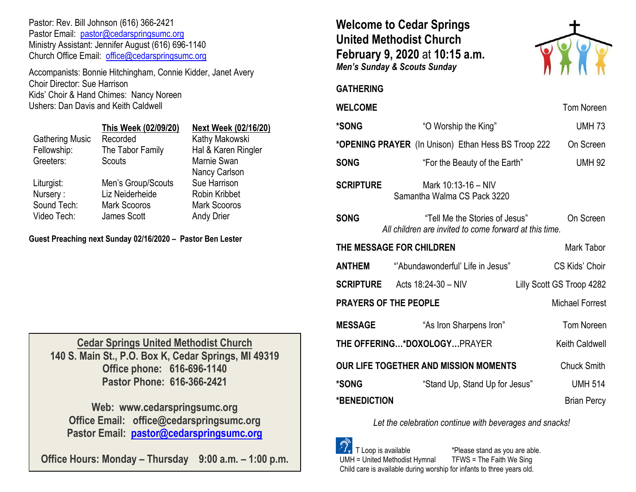Pastor: Rev. Bill Johnson (616) 366-2421 Pastor Email: [pastor@cedarspringsumc.org](mailto:pastor@cedarspringsumc.org) Ministry Assistant: Jennifer August (616) 696-1140 Church Office Email: [office@cedarspringsumc.org](mailto:office@cedarspringsumc.org)

Accompanists: Bonnie Hitchingham, Connie Kidder, Janet Avery Choir Director: Sue Harrison Kids' Choir & Hand Chimes: Nancy Noreen Ushers: Dan Davis and Keith Caldwell

|                        | This Week (02/09/20) | <b>Next Week (02/16/20)</b> |
|------------------------|----------------------|-----------------------------|
| <b>Gathering Music</b> | Recorded             | Kathy Makowski              |
| Fellowship:            | The Tabor Family     | Hal & Karen Ringler         |
| Greeters:              | Scouts               | Marnie Swan                 |
|                        |                      | Nancy Carlson               |
| Liturgist:             | Men's Group/Scouts   | Sue Harrison                |
| Nursery:               | Liz Neiderheide      | <b>Robin Kribbet</b>        |
| Sound Tech:            | <b>Mark Scooros</b>  | <b>Mark Scooros</b>         |
| Video Tech:            | James Scott          | <b>Andy Drier</b>           |
|                        |                      |                             |

**Guest Preaching next Sunday 02/16/2020 – Pastor Ben Lester**

**Cedar Springs United Methodist Church 140 S. Main St., P.O. Box K, Cedar Springs, MI 49319 Office phone: 616-696-1140 Pastor Phone: 616-366-2421**

**Web: www.cedarspringsumc.org Office Email: office@cedarspringsumc.org Pastor Email: [pastor@cedarspringsumc.org](mailto:pastor@cedarspringsumc.org)**

**Office Hours: Monday – Thursday 9:00 a.m. – 1:00 p.m.**

# **Welcome to Cedar Springs United Methodist Church February 9, 2020** at **10:15 a.m.**  *Men's Sunday & Scouts Sunday*



## **GATHERING**

## **WELCOME** Tom Noreen

| *SONG                                                                  | "O Worship the King"                                                                     | <b>UMH 73</b>             |  |  |
|------------------------------------------------------------------------|------------------------------------------------------------------------------------------|---------------------------|--|--|
| *OPENING PRAYER (In Unison) Ethan Hess BS Troop 222<br>On Screen       |                                                                                          |                           |  |  |
| <b>SONG</b>                                                            | "For the Beauty of the Earth"                                                            | <b>UMH 92</b>             |  |  |
| <b>SCRIPTURE</b><br>Mark 10:13-16 - NIV<br>Samantha Walma CS Pack 3220 |                                                                                          |                           |  |  |
| <b>SONG</b>                                                            | "Tell Me the Stories of Jesus"<br>All children are invited to come forward at this time. | On Screen                 |  |  |
| THE MESSAGE FOR CHILDREN                                               | Mark Tabor                                                                               |                           |  |  |
| <b>ANTHEM</b>                                                          | "Abundawonderful' Life in Jesus"                                                         | CS Kids' Choir            |  |  |
|                                                                        | <b>SCRIPTURE</b> Acts $18:24-30 - NIV$                                                   | Lilly Scott GS Troop 4282 |  |  |
| <b>PRAYERS OF THE PEOPLE</b>                                           | <b>Michael Forrest</b>                                                                   |                           |  |  |
| <b>MESSAGE</b>                                                         | "As Iron Sharpens Iron"                                                                  | <b>Tom Noreen</b>         |  |  |
| THE OFFERING*DOXOLOGYPRAYER<br>Keith Caldwell                          |                                                                                          |                           |  |  |
| <b>OUR LIFE TOGETHER AND MISSION MOMENTS</b>                           | <b>Chuck Smith</b>                                                                       |                           |  |  |
| *SONG                                                                  | "Stand Up, Stand Up for Jesus"                                                           | <b>UMH 514</b>            |  |  |
| *BENEDICTION                                                           |                                                                                          | <b>Brian Percy</b>        |  |  |

*Let the celebration continue with beverages and snacks!*

 T Loop is available \*Please stand as you are able. UMH = United Methodist Hymnal TFWS = The Faith We Sing Child care is available during worship for infants to three years old.